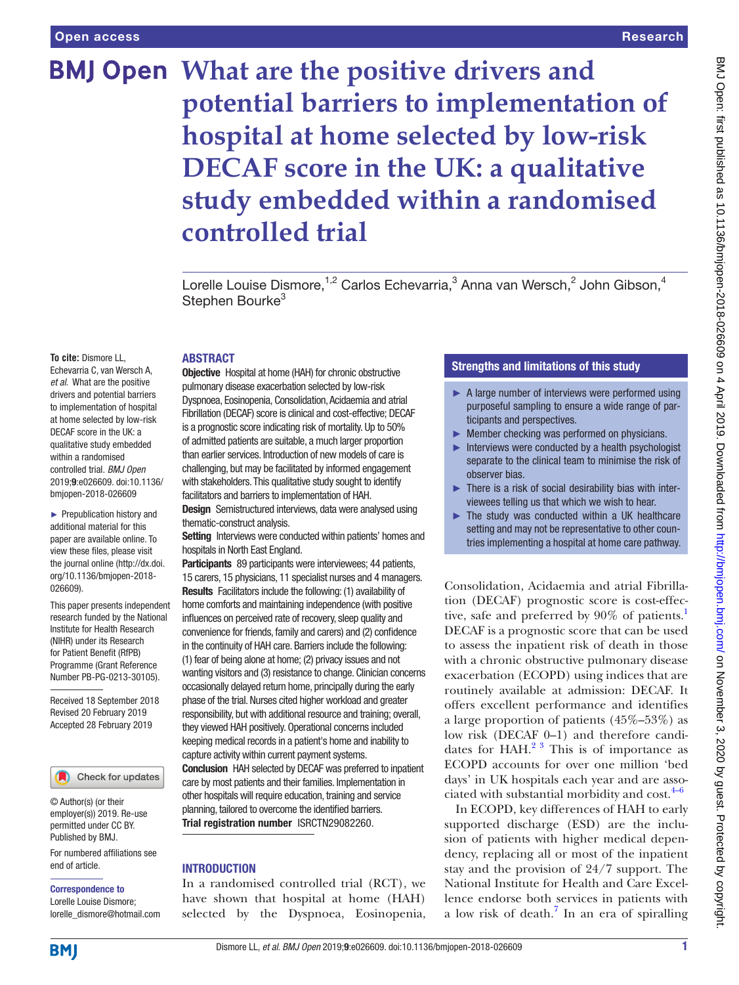# Research

# **BMJ Open What are the positive drivers and potential barriers to implementation of hospital at home selected by low-risk DECAF score in the UK: a qualitative study embedded within a randomised controlled trial**

Lorelle Louise Dismore, <sup>1,2</sup> Carlos Echevarria, <sup>3</sup> Anna van Wersch, <sup>2</sup> John Gibson, <sup>4</sup> Stephen Bourke<sup>3</sup>

#### **ABSTRACT**

**To cite:** Dismore LL, Echevarria C, van Wersch A, *et al*. What are the positive drivers and potential barriers to implementation of hospital at home selected by low-risk DECAF score in the UK: a qualitative study embedded within a randomised controlled trial. *BMJ Open* 2019;9:e026609. doi:10.1136/ bmjopen-2018-026609

► Prepublication history and additional material for this paper are available online. To view these files, please visit the journal online [\(http://dx.doi.](http://dx.doi.org/10.1136/bmjopen-2018-026609) [org/10.1136/bmjopen-2018-](http://dx.doi.org/10.1136/bmjopen-2018-026609) [026609\)](http://dx.doi.org/10.1136/bmjopen-2018-026609).

This paper presents independent research funded by the National Institute for Health Research (NIHR) under its Research for Patient Benefit (RfPB) Programme (Grant Reference Number PB-PG-0213-30105).

Received 18 September 2018 Revised 20 February 2019 Accepted 28 February 2019

#### Check for updates

© Author(s) (or their employer(s)) 2019. Re-use permitted under CC BY. Published by BMJ.

For numbered affiliations see end of article.

#### Correspondence to

Lorelle Louise Dismore; lorelle\_dismore@hotmail.com Objective Hospital at home (HAH) for chronic obstructive pulmonary disease exacerbation selected by low-risk Dyspnoea, Eosinopenia, Consolidation, Acidaemia and atrial Fibrillation (DECAF) score is clinical and cost-effective; DECAF is a prognostic score indicating risk of mortality. Up to 50% of admitted patients are suitable, a much larger proportion than earlier services. Introduction of new models of care is challenging, but may be facilitated by informed engagement with stakeholders. This qualitative study sought to identify facilitators and barriers to implementation of HAH.

Design Semistructured interviews, data were analysed using thematic-construct analysis.

Setting Interviews were conducted within patients' homes and hospitals in North East England.

Participants 89 participants were interviewees; 44 patients, 15 carers, 15 physicians, 11 specialist nurses and 4 managers. Results Facilitators include the following: (1) availability of home comforts and maintaining independence (with positive influences on perceived rate of recovery, sleep quality and convenience for friends, family and carers) and (2) confidence in the continuity of HAH care. Barriers include the following: (1) fear of being alone at home; (2) privacy issues and not wanting visitors and (3) resistance to change. Clinician concerns occasionally delayed return home, principally during the early phase of the trial. Nurses cited higher workload and greater responsibility, but with additional resource and training; overall, they viewed HAH positively. Operational concerns included keeping medical records in a patient's home and inability to capture activity within current payment systems. Conclusion HAH selected by DECAF was preferred to inpatient care by most patients and their families. Implementation in other hospitals will require education, training and service planning, tailored to overcome the identified barriers. Trial registration number <ISRCTN29082260>.

#### **INTRODUCTION**

In a randomised controlled trial (RCT), we have shown that hospital at home (HAH) selected by the Dyspnoea, Eosinopenia,

# Strengths and limitations of this study

- ► A large number of interviews were performed using purposeful sampling to ensure a wide range of participants and perspectives.
- $\blacktriangleright$  Member checking was performed on physicians.
- $\blacktriangleright$  Interviews were conducted by a health psychologist separate to the clinical team to minimise the risk of observer bias.
- ► There is a risk of social desirability bias with interviewees telling us that which we wish to hear.
- ► The study was conducted within a UK healthcare setting and may not be representative to other countries implementing a hospital at home care pathway.

Consolidation, Acidaemia and atrial Fibrillation (DECAF) prognostic score is cost-effective, safe and preferred by 90% of patients.<sup>1</sup> DECAF is a prognostic score that can be used to assess the inpatient risk of death in those with a chronic obstructive pulmonary disease exacerbation (ECOPD) using indices that are routinely available at admission: DECAF. It offers excellent performance and identifies a large proportion of patients (45%–53%) as low risk (DECAF 0–1) and therefore candidates for HAH. $^{2}$ <sup>3</sup> This is of importance as ECOPD accounts for over one million 'bed days' in UK hospitals each year and are associated with substantial morbidity and  $cost.^{4-6}$ 

In ECOPD, key differences of HAH to early supported discharge (ESD) are the inclusion of patients with higher medical dependency, replacing all or most of the inpatient stay and the provision of 24/7 support. The National Institute for Health and Care Excellence endorse both services in patients with a low risk of death. $7 \text{ In an era of spiralling}$  $7 \text{ In an era of spiralling}$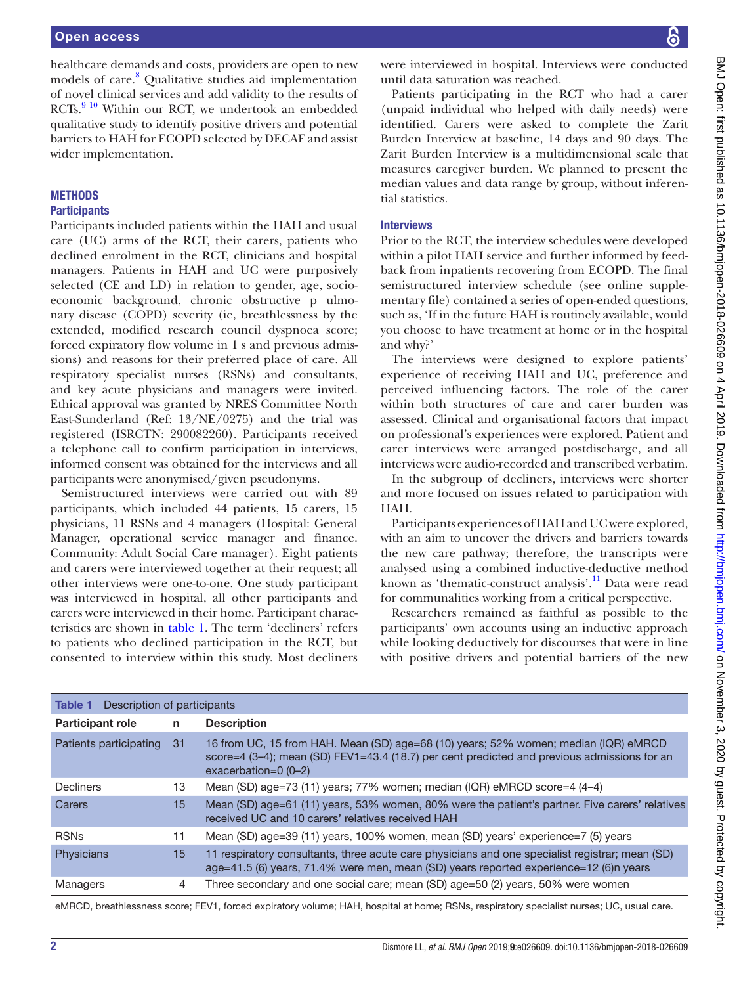healthcare demands and costs, providers are open to new models of care.<sup>[8](#page-6-4)</sup> Qualitative studies aid implementation of novel clinical services and add validity to the results of RCTs.<sup>9 10</sup> Within our RCT, we undertook an embedded qualitative study to identify positive drivers and potential barriers to HAH for ECOPD selected by DECAF and assist wider implementation.

## **METHODS**

#### **Participants**

Participants included patients within the HAH and usual care (UC) arms of the RCT, their carers, patients who declined enrolment in the RCT, clinicians and hospital managers. Patients in HAH and UC were purposively selected (CE and LD) in relation to gender, age, socioeconomic background, chronic obstructive p ulmonary disease (COPD) severity (ie, breathlessness by the extended, modified research council dyspnoea score; forced expiratory flow volume in 1 s and previous admissions) and reasons for their preferred place of care. All respiratory specialist nurses (RSNs) and consultants, and key acute physicians and managers were invited. Ethical approval was granted by NRES Committee North East-Sunderland (Ref: 13/NE/0275) and the trial was registered (ISRCTN: 290082260). Participants received a telephone call to confirm participation in interviews, informed consent was obtained for the interviews and all participants were anonymised/given pseudonyms.

Semistructured interviews were carried out with 89 participants, which included 44 patients, 15 carers, 15 physicians, 11 RSNs and 4 managers (Hospital: General Manager, operational service manager and finance. Community: Adult Social Care manager). Eight patients and carers were interviewed together at their request; all other interviews were one-to-one. One study participant was interviewed in hospital, all other participants and carers were interviewed in their home. Participant characteristics are shown in [table](#page-1-0) 1. The term 'decliners' refers to patients who declined participation in the RCT, but consented to interview within this study. Most decliners

were interviewed in hospital. Interviews were conducted until data saturation was reached.

Patients participating in the RCT who had a carer (unpaid individual who helped with daily needs) were identified. Carers were asked to complete the Zarit Burden Interview at baseline, 14 days and 90 days. The Zarit Burden Interview is a multidimensional scale that measures caregiver burden. We planned to present the median values and data range by group, without inferential statistics.

#### **Interviews**

Prior to the RCT, the interview schedules were developed within a pilot HAH service and further informed by feedback from inpatients recovering from ECOPD. The final semistructured interview schedule (see online [supple](https://dx.doi.org/10.1136/bmjopen-2018-026609)[mentary file\)](https://dx.doi.org/10.1136/bmjopen-2018-026609) contained a series of open-ended questions, such as, 'If in the future HAH is routinely available, would you choose to have treatment at home or in the hospital and why?'

The interviews were designed to explore patients' experience of receiving HAH and UC, preference and perceived influencing factors. The role of the carer within both structures of care and carer burden was assessed. Clinical and organisational factors that impact on professional's experiences were explored. Patient and carer interviews were arranged postdischarge, and all interviews were audio-recorded and transcribed verbatim.

In the subgroup of decliners, interviews were shorter and more focused on issues related to participation with HAH.

Participants experiences of HAH and UC were explored, with an aim to uncover the drivers and barriers towards the new care pathway; therefore, the transcripts were analysed using a combined inductive-deductive method known as 'thematic-construct analysis'.<sup>11</sup> Data were read for communalities working from a critical perspective.

Researchers remained as faithful as possible to the participants' own accounts using an inductive approach while looking deductively for discourses that were in line with positive drivers and potential barriers of the new

<span id="page-1-0"></span>

| Description of participants<br>Table 1 |    |                                                                                                                                                                                                                     |  |  |  |  |  |
|----------------------------------------|----|---------------------------------------------------------------------------------------------------------------------------------------------------------------------------------------------------------------------|--|--|--|--|--|
| <b>Participant role</b>                | n  | <b>Description</b>                                                                                                                                                                                                  |  |  |  |  |  |
| Patients participating                 | 31 | 16 from UC, 15 from HAH. Mean (SD) age=68 (10) years; 52% women; median (IQR) eMRCD<br>score=4 $(3-4)$ ; mean $(SD)$ FEV1=43.4 $(18.7)$ per cent predicted and previous admissions for an<br>exacerbation= $0(0-2)$ |  |  |  |  |  |
| Decliners                              | 13 | Mean (SD) age=73 (11) years; 77% women; median (IQR) eMRCD score=4 (4-4)                                                                                                                                            |  |  |  |  |  |
| Carers                                 | 15 | Mean (SD) age=61 (11) years, 53% women, 80% were the patient's partner. Five carers' relatives<br>received UC and 10 carers' relatives received HAH                                                                 |  |  |  |  |  |
| <b>RSNs</b>                            | 11 | Mean (SD) age=39 (11) years, 100% women, mean (SD) years' experience=7 (5) years                                                                                                                                    |  |  |  |  |  |
| Physicians                             | 15 | 11 respiratory consultants, three acute care physicians and one specialist registrar; mean (SD)<br>age=41.5 (6) years, 71.4% were men, mean (SD) years reported experience=12 (6)n years                            |  |  |  |  |  |
| Managers                               | 4  | Three secondary and one social care; mean (SD) age=50 (2) years, 50% were women                                                                                                                                     |  |  |  |  |  |
|                                        |    |                                                                                                                                                                                                                     |  |  |  |  |  |

eMRCD, breathlessness score; FEV1, forced expiratory volume; HAH, hospital at home; RSNs, respiratory specialist nurses; UC, usual care.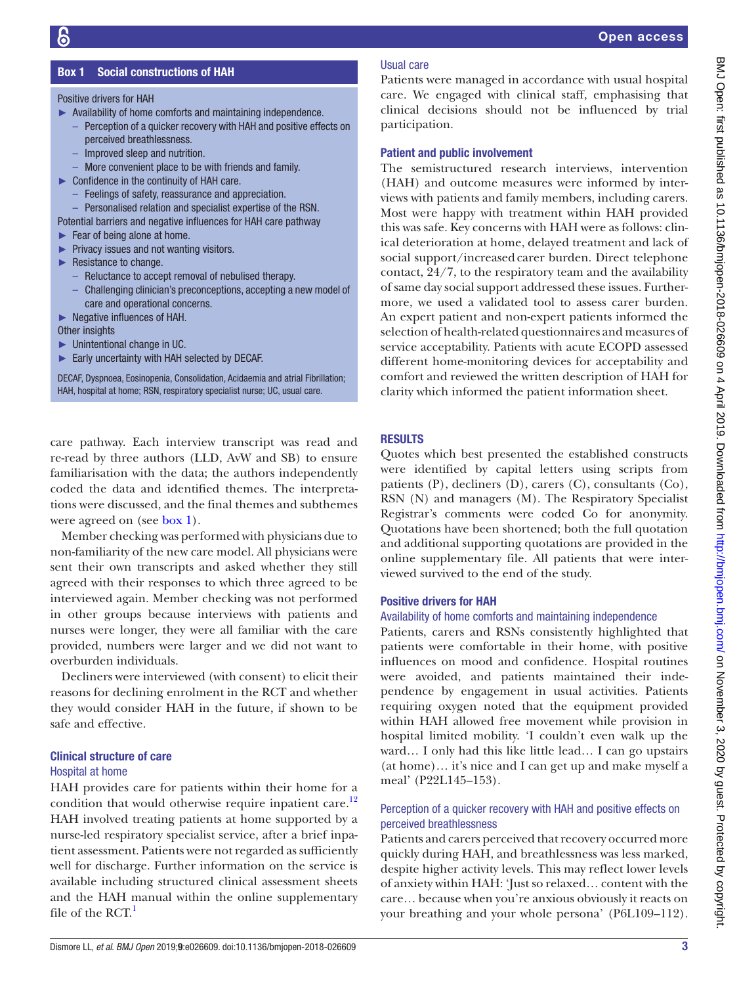# Box 1 Social constructions of HAH

<span id="page-2-0"></span>Positive drivers for HAH

- ► Availability of home comforts and maintaining independence.
	- Perception of a quicker recovery with HAH and positive effects on perceived breathlessness.
	- Improved sleep and nutrition.
	- More convenient place to be with friends and family.
- ► Confidence in the continuity of HAH care.
	- Feelings of safety, reassurance and appreciation.
	- Personalised relation and specialist expertise of the RSN.
- Potential barriers and negative influences for HAH care pathway
- ► Fear of being alone at home.
- ► Privacy issues and not wanting visitors.
- ► Resistance to change.
	- Reluctance to accept removal of nebulised therapy.
	- Challenging clinician's preconceptions, accepting a new model of care and operational concerns.
- ► Negative influences of HAH.

Other insights

- ► Unintentional change in UC.
- ► Early uncertainty with HAH selected by DECAF.

DECAF, Dyspnoea, Eosinopenia, Consolidation, Acidaemia and atrial Fibrillation; HAH, hospital at home; RSN, respiratory specialist nurse; UC, usual care.

care pathway. Each interview transcript was read and re-read by three authors (LLD, AvW and SB) to ensure familiarisation with the data; the authors independently coded the data and identified themes. The interpretations were discussed, and the final themes and subthemes were agreed on (see [box](#page-2-0) 1).

Member checking was performed with physicians due to non-familiarity of the new care model. All physicians were sent their own transcripts and asked whether they still agreed with their responses to which three agreed to be interviewed again. Member checking was not performed in other groups because interviews with patients and nurses were longer, they were all familiar with the care provided, numbers were larger and we did not want to overburden individuals.

Decliners were interviewed (with consent) to elicit their reasons for declining enrolment in the RCT and whether they would consider HAH in the future, if shown to be safe and effective.

# Clinical structure of care

#### Hospital at home

HAH provides care for patients within their home for a condition that would otherwise require inpatient care.<sup>[12](#page-6-7)</sup> HAH involved treating patients at home supported by a nurse-led respiratory specialist service, after a brief inpatient assessment. Patients were not regarded as sufficiently well for discharge. Further information on the service is available including structured clinical assessment sheets and the HAH manual within the online [supplementary](https://dx.doi.org/10.1136/bmjopen-2018-026609) [file](https://dx.doi.org/10.1136/bmjopen-2018-026609) of the  $\text{RCT}$ <sup>[1](#page-6-0)</sup>

#### Usual care

Patients were managed in accordance with usual hospital care. We engaged with clinical staff, emphasising that clinical decisions should not be influenced by trial participation.

#### Patient and public involvement

The semistructured research interviews, intervention (HAH) and outcome measures were informed by interviews with patients and family members, including carers. Most were happy with treatment within HAH provided this was safe. Key concerns with HAH were as follows: clinical deterioration at home, delayed treatment and lack of social support/increasedcarer burden. Direct telephone contact, 24/7, to the respiratory team and the availability of same day social support addressed these issues. Furthermore, we used a validated tool to assess carer burden. An expert patient and non-expert patients informed the selection of health-related questionnaires and measures of service acceptability. Patients with acute ECOPD assessed different home-monitoring devices for acceptability and comfort and reviewed the written description of HAH for clarity which informed the patient information sheet.

#### **RESULTS**

Quotes which best presented the established constructs were identified by capital letters using scripts from patients (P), decliners (D), carers (C), consultants (Co), RSN (N) and managers (M). The Respiratory Specialist Registrar's comments were coded Co for anonymity. Quotations have been shortened; both the full quotation and additional supporting quotations are provided in the online [supplementary file.](https://dx.doi.org/10.1136/bmjopen-2018-026609) All patients that were interviewed survived to the end of the study.

#### Positive drivers for HAH

#### Availability of home comforts and maintaining independence

Patients, carers and RSNs consistently highlighted that patients were comfortable in their home, with positive influences on mood and confidence. Hospital routines were avoided, and patients maintained their independence by engagement in usual activities. Patients requiring oxygen noted that the equipment provided within HAH allowed free movement while provision in hospital limited mobility. 'I couldn't even walk up the ward… I only had this like little lead… I can go upstairs (at home)… it's nice and I can get up and make myself a meal' (P22L145–153).

#### Perception of a quicker recovery with HAH and positive effects on perceived breathlessness

Patients and carers perceived that recovery occurred more quickly during HAH, and breathlessness was less marked, despite higher activity levels. This may reflect lower levels of anxiety within HAH: 'Just so relaxed… content with the care… because when you're anxious obviously it reacts on your breathing and your whole persona' (P6L109–112).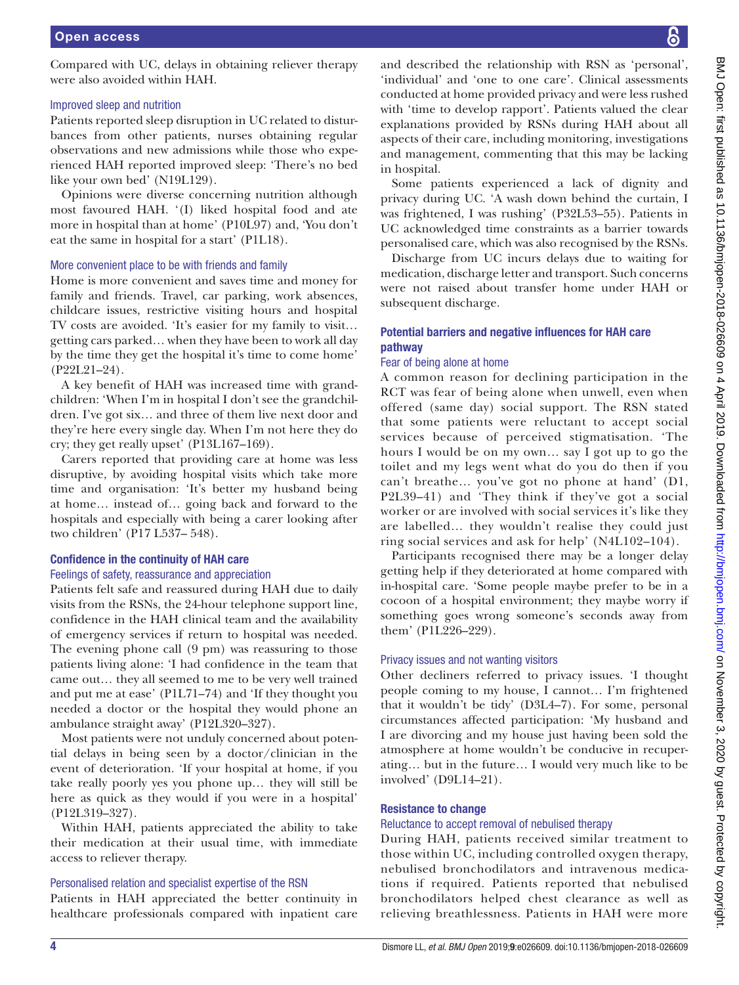Compared with UC, delays in obtaining reliever therapy were also avoided within HAH.

#### Improved sleep and nutrition

Patients reported sleep disruption in UC related to disturbances from other patients, nurses obtaining regular observations and new admissions while those who experienced HAH reported improved sleep: 'There's no bed like your own bed' (N19L129).

Opinions were diverse concerning nutrition although most favoured HAH. '(I) liked hospital food and ate more in hospital than at home' (P10L97) and, 'You don't eat the same in hospital for a start' (P1L18).

#### More convenient place to be with friends and family

Home is more convenient and saves time and money for family and friends. Travel, car parking, work absences, childcare issues, restrictive visiting hours and hospital TV costs are avoided. 'It's easier for my family to visit… getting cars parked… when they have been to work all day by the time they get the hospital it's time to come home' (P22L21–24).

A key benefit of HAH was increased time with grandchildren: 'When I'm in hospital I don't see the grandchildren. I've got six… and three of them live next door and they're here every single day. When I'm not here they do cry; they get really upset' (P13L167–169).

Carers reported that providing care at home was less disruptive, by avoiding hospital visits which take more time and organisation: 'It's better my husband being at home… instead of… going back and forward to the hospitals and especially with being a carer looking after two children' (P17 L537– 548).

## Confidence in the continuity of HAH care

#### Feelings of safety, reassurance and appreciation

Patients felt safe and reassured during HAH due to daily visits from the RSNs, the 24-hour telephone support line, confidence in the HAH clinical team and the availability of emergency services if return to hospital was needed. The evening phone call (9 pm) was reassuring to those patients living alone: 'I had confidence in the team that came out… they all seemed to me to be very well trained and put me at ease' (P1L71–74) and 'If they thought you needed a doctor or the hospital they would phone an ambulance straight away' (P12L320–327).

Most patients were not unduly concerned about potential delays in being seen by a doctor/clinician in the event of deterioration. 'If your hospital at home, if you take really poorly yes you phone up… they will still be here as quick as they would if you were in a hospital' (P12L319–327).

Within HAH, patients appreciated the ability to take their medication at their usual time, with immediate access to reliever therapy.

## Personalised relation and specialist expertise of the RSN

Patients in HAH appreciated the better continuity in healthcare professionals compared with inpatient care and described the relationship with RSN as 'personal', 'individual' and 'one to one care'. Clinical assessments conducted at home provided privacy and were less rushed with 'time to develop rapport'. Patients valued the clear explanations provided by RSNs during HAH about all aspects of their care, including monitoring, investigations and management, commenting that this may be lacking in hospital.

Some patients experienced a lack of dignity and privacy during UC. 'A wash down behind the curtain, I was frightened, I was rushing' (P32L53–55). Patients in UC acknowledged time constraints as a barrier towards personalised care, which was also recognised by the RSNs.

Discharge from UC incurs delays due to waiting for medication, discharge letter and transport. Such concerns were not raised about transfer home under HAH or subsequent discharge.

## Potential barriers and negative influences for HAH care pathway

#### Fear of being alone at home

A common reason for declining participation in the RCT was fear of being alone when unwell, even when offered (same day) social support. The RSN stated that some patients were reluctant to accept social services because of perceived stigmatisation. 'The hours I would be on my own… say I got up to go the toilet and my legs went what do you do then if you can't breathe… you've got no phone at hand' (D1, P2L39–41) and 'They think if they've got a social worker or are involved with social services it's like they are labelled… they wouldn't realise they could just ring social services and ask for help' (N4L102–104).

Participants recognised there may be a longer delay getting help if they deteriorated at home compared with in-hospital care. 'Some people maybe prefer to be in a cocoon of a hospital environment; they maybe worry if something goes wrong someone's seconds away from them' (P1L226–229).

## Privacy issues and not wanting visitors

Other decliners referred to privacy issues. 'I thought people coming to my house, I cannot… I'm frightened that it wouldn't be tidy' (D3L4–7). For some, personal circumstances affected participation: 'My husband and I are divorcing and my house just having been sold the atmosphere at home wouldn't be conducive in recuperating… but in the future… I would very much like to be involved' (D9L14–21).

## Resistance to change

## Reluctance to accept removal of nebulised therapy

During HAH, patients received similar treatment to those within UC, including controlled oxygen therapy, nebulised bronchodilators and intravenous medications if required. Patients reported that nebulised bronchodilators helped chest clearance as well as relieving breathlessness. Patients in HAH were more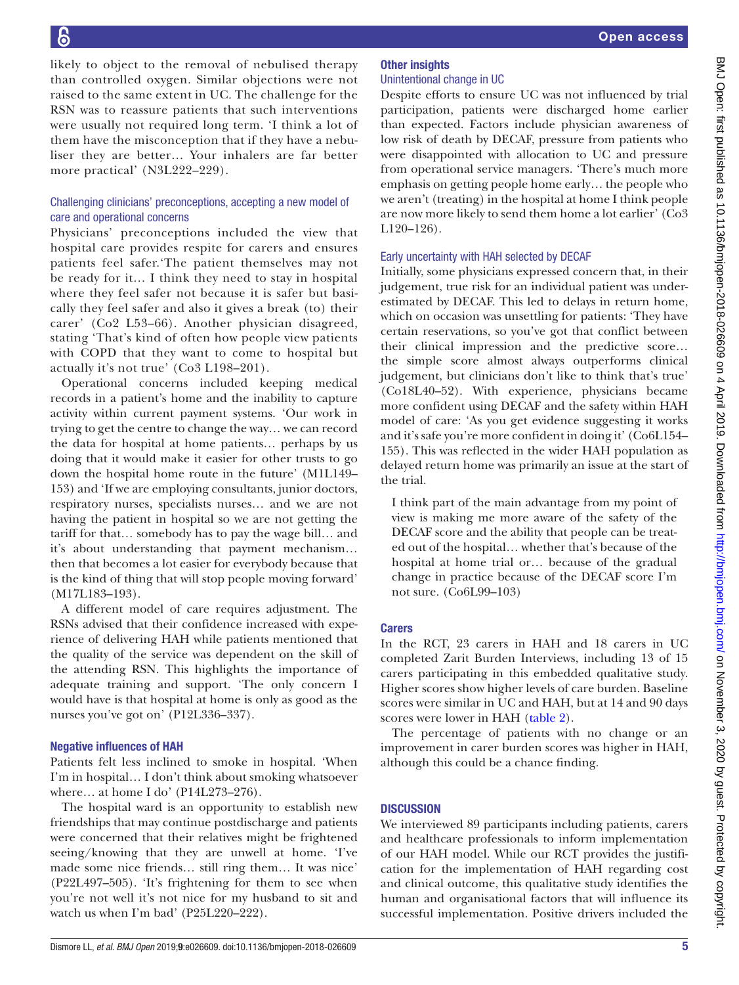likely to object to the removal of nebulised therapy than controlled oxygen. Similar objections were not raised to the same extent in UC. The challenge for the RSN was to reassure patients that such interventions were usually not required long term. 'I think a lot of them have the misconception that if they have a nebuliser they are better… Your inhalers are far better more practical' (N3L222–229).

# Challenging clinicians' preconceptions, accepting a new model of care and operational concerns

Physicians' preconceptions included the view that hospital care provides respite for carers and ensures patients feel safer.'The patient themselves may not be ready for it… I think they need to stay in hospital where they feel safer not because it is safer but basically they feel safer and also it gives a break (to) their carer' (Co2 L53–66). Another physician disagreed, stating 'That's kind of often how people view patients with COPD that they want to come to hospital but actually it's not true' (Co3 L198–201).

Operational concerns included keeping medical records in a patient's home and the inability to capture activity within current payment systems. 'Our work in trying to get the centre to change the way… we can record the data for hospital at home patients… perhaps by us doing that it would make it easier for other trusts to go down the hospital home route in the future' (M1L149– 153) and 'If we are employing consultants, junior doctors, respiratory nurses, specialists nurses… and we are not having the patient in hospital so we are not getting the tariff for that… somebody has to pay the wage bill… and it's about understanding that payment mechanism… then that becomes a lot easier for everybody because that is the kind of thing that will stop people moving forward' (M17L183–193).

A different model of care requires adjustment. The RSNs advised that their confidence increased with experience of delivering HAH while patients mentioned that the quality of the service was dependent on the skill of the attending RSN. This highlights the importance of adequate training and support. 'The only concern I would have is that hospital at home is only as good as the nurses you've got on' (P12L336–337).

## Negative influences of HAH

Patients felt less inclined to smoke in hospital. 'When I'm in hospital… I don't think about smoking whatsoever where… at home I do' (P14L273–276).

The hospital ward is an opportunity to establish new friendships that may continue postdischarge and patients were concerned that their relatives might be frightened seeing/knowing that they are unwell at home. 'I've made some nice friends… still ring them… It was nice' (P22L497–505). 'It's frightening for them to see when you're not well it's not nice for my husband to sit and watch us when I'm bad' (P25L220–222).

#### Other insights Unintentional change in UC

Despite efforts to ensure UC was not influenced by trial participation, patients were discharged home earlier than expected. Factors include physician awareness of low risk of death by DECAF, pressure from patients who were disappointed with allocation to UC and pressure from operational service managers. 'There's much more emphasis on getting people home early… the people who we aren't (treating) in the hospital at home I think people are now more likely to send them home a lot earlier' (Co3 L120–126).

# Early uncertainty with HAH selected by DECAF

Initially, some physicians expressed concern that, in their judgement, true risk for an individual patient was underestimated by DECAF. This led to delays in return home, which on occasion was unsettling for patients: 'They have certain reservations, so you've got that conflict between their clinical impression and the predictive score… the simple score almost always outperforms clinical judgement, but clinicians don't like to think that's true' (Co18L40–52). With experience, physicians became more confident using DECAF and the safety within HAH model of care: 'As you get evidence suggesting it works and it's safe you're more confident in doing it' (Co6L154– 155). This was reflected in the wider HAH population as delayed return home was primarily an issue at the start of the trial.

I think part of the main advantage from my point of view is making me more aware of the safety of the DECAF score and the ability that people can be treated out of the hospital… whether that's because of the hospital at home trial or… because of the gradual change in practice because of the DECAF score I'm not sure. (Co6L99–103)

# **Carers**

In the RCT, 23 carers in HAH and 18 carers in UC completed Zarit Burden Interviews, including 13 of 15 carers participating in this embedded qualitative study. Higher scores show higher levels of care burden. Baseline scores were similar in UC and HAH, but at 14 and 90 days scores were lower in HAH ([table](#page-5-0) 2).

The percentage of patients with no change or an improvement in carer burden scores was higher in HAH, although this could be a chance finding.

# **DISCUSSION**

We interviewed 89 participants including patients, carers and healthcare professionals to inform implementation of our HAH model. While our RCT provides the justification for the implementation of HAH regarding cost and clinical outcome, this qualitative study identifies the human and organisational factors that will influence its successful implementation. Positive drivers included the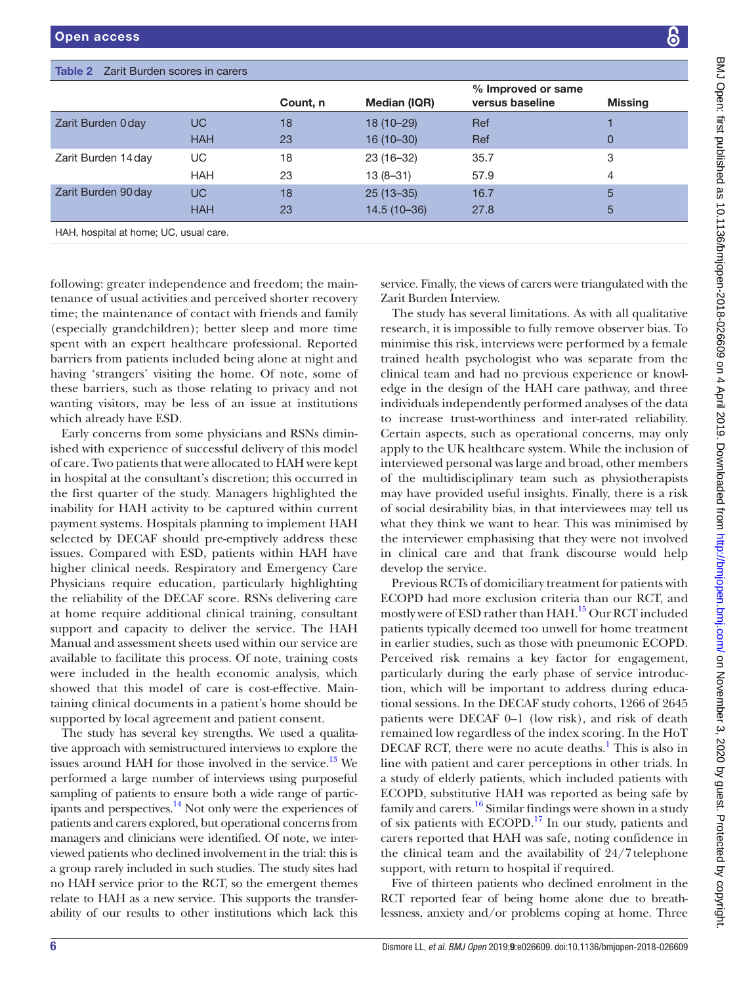<span id="page-5-0"></span>

| Zarit Burden scores in carers<br>Table 2 |            |          |              |                                       |                |  |  |  |
|------------------------------------------|------------|----------|--------------|---------------------------------------|----------------|--|--|--|
|                                          |            | Count, n | Median (IQR) | % Improved or same<br>versus baseline | <b>Missing</b> |  |  |  |
| Zarit Burden 0 day                       | UC.        | 18       | 18 (10-29)   | Ref                                   |                |  |  |  |
|                                          | <b>HAH</b> | 23       | $16(10-30)$  | Ref                                   | 0              |  |  |  |
| Zarit Burden 14 day                      | UC.        | 18       | $23(16-32)$  | 35.7                                  | 3              |  |  |  |
|                                          | <b>HAH</b> | 23       | $13(8-31)$   | 57.9                                  | 4              |  |  |  |
| Zarit Burden 90 day                      | <b>UC</b>  | 18       | $25(13-35)$  | 16.7                                  | 5              |  |  |  |
|                                          | <b>HAH</b> | 23       | 14.5 (10-36) | 27.8                                  | 5              |  |  |  |
| HAH, hospital at home; UC, usual care.   |            |          |              |                                       |                |  |  |  |
|                                          |            |          |              |                                       |                |  |  |  |
|                                          |            |          |              |                                       |                |  |  |  |

following: greater independence and freedom; the maintenance of usual activities and perceived shorter recovery time; the maintenance of contact with friends and family (especially grandchildren); better sleep and more time spent with an expert healthcare professional. Reported barriers from patients included being alone at night and having 'strangers' visiting the home. Of note, some of these barriers, such as those relating to privacy and not wanting visitors, may be less of an issue at institutions which already have ESD.

Early concerns from some physicians and RSNs diminished with experience of successful delivery of this model of care. Two patients that were allocated to HAH were kept in hospital at the consultant's discretion; this occurred in the first quarter of the study. Managers highlighted the inability for HAH activity to be captured within current payment systems. Hospitals planning to implement HAH selected by DECAF should pre-emptively address these issues. Compared with ESD, patients within HAH have higher clinical needs. Respiratory and Emergency Care Physicians require education, particularly highlighting the reliability of the DECAF score. RSNs delivering care at home require additional clinical training, consultant support and capacity to deliver the service. The HAH Manual and assessment sheets used within our service are available to facilitate this process. Of note, training costs were included in the health economic analysis, which showed that this model of care is cost-effective. Maintaining clinical documents in a patient's home should be supported by local agreement and patient consent.

The study has several key strengths. We used a qualitative approach with semistructured interviews to explore the issues around HAH for those involved in the service.<sup>13</sup> We performed a large number of interviews using purposeful sampling of patients to ensure both a wide range of participants and perspectives.<sup>14</sup> Not only were the experiences of patients and carers explored, but operational concerns from managers and clinicians were identified. Of note, we interviewed patients who declined involvement in the trial: this is a group rarely included in such studies. The study sites had no HAH service prior to the RCT, so the emergent themes relate to HAH as a new service. This supports the transferability of our results to other institutions which lack this

service. Finally, the views of carers were triangulated with the Zarit Burden Interview.

The study has several limitations. As with all qualitative research, it is impossible to fully remove observer bias. To minimise this risk, interviews were performed by a female trained health psychologist who was separate from the clinical team and had no previous experience or knowledge in the design of the HAH care pathway, and three individuals independently performed analyses of the data to increase trust-worthiness and inter-rated reliability. Certain aspects, such as operational concerns, may only apply to the UK healthcare system. While the inclusion of interviewed personal was large and broad, other members of the multidisciplinary team such as physiotherapists may have provided useful insights. Finally, there is a risk of social desirability bias, in that interviewees may tell us what they think we want to hear. This was minimised by the interviewer emphasising that they were not involved in clinical care and that frank discourse would help develop the service.

Previous RCTs of domiciliary treatment for patients with ECOPD had more exclusion criteria than our RCT, and mostly were of ESD rather than HAH.<sup>15</sup> Our RCT included patients typically deemed too unwell for home treatment in earlier studies, such as those with pneumonic ECOPD. Perceived risk remains a key factor for engagement, particularly during the early phase of service introduction, which will be important to address during educational sessions. In the DECAF study cohorts, 1266 of 2645 patients were DECAF 0–1 (low risk), and risk of death remained low regardless of the index scoring. In the HoT DECAF RCT, there were no acute deaths.<sup>1</sup> This is also in line with patient and carer perceptions in other trials. In a study of elderly patients, which included patients with ECOPD, substitutive HAH was reported as being safe by family and carers. $16$  Similar findings were shown in a study of six patients with ECOPD.[17](#page-7-2) In our study, patients and carers reported that HAH was safe, noting confidence in the clinical team and the availability of  $24/7$  telephone support, with return to hospital if required.

Five of thirteen patients who declined enrolment in the RCT reported fear of being home alone due to breathlessness, anxiety and/or problems coping at home. Three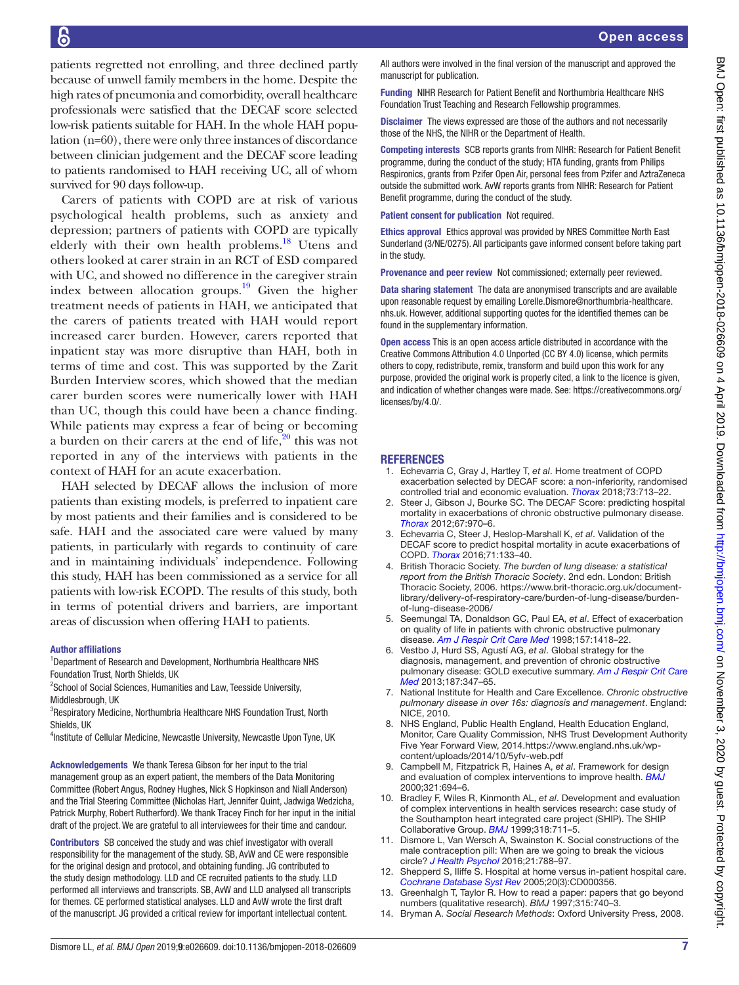patients regretted not enrolling, and three declined partly because of unwell family members in the home. Despite the high rates of pneumonia and comorbidity, overall healthcare professionals were satisfied that the DECAF score selected low-risk patients suitable for HAH. In the whole HAH population (n=60), there were only three instances of discordance between clinician judgement and the DECAF score leading to patients randomised to HAH receiving UC, all of whom survived for 90 days follow-up.

Carers of patients with COPD are at risk of various psychological health problems, such as anxiety and depression; partners of patients with COPD are typically elderly with their own health problems.<sup>18</sup> Utens and others looked at carer strain in an RCT of ESD compared with UC, and showed no difference in the caregiver strain index between allocation groups.<sup>19</sup> Given the higher treatment needs of patients in HAH, we anticipated that the carers of patients treated with HAH would report increased carer burden. However, carers reported that inpatient stay was more disruptive than HAH, both in terms of time and cost. This was supported by the Zarit Burden Interview scores, which showed that the median carer burden scores were numerically lower with HAH than UC, though this could have been a chance finding. While patients may express a fear of being or becoming a burden on their carers at the end of life, $20$  this was not reported in any of the interviews with patients in the context of HAH for an acute exacerbation.

HAH selected by DECAF allows the inclusion of more patients than existing models, is preferred to inpatient care by most patients and their families and is considered to be safe. HAH and the associated care were valued by many patients, in particularly with regards to continuity of care and in maintaining individuals' independence. Following this study, HAH has been commissioned as a service for all patients with low-risk ECOPD. The results of this study, both in terms of potential drivers and barriers, are important areas of discussion when offering HAH to patients.

#### Author affiliations

<sup>1</sup>Department of Research and Development, Northumbria Healthcare NHS Foundation Trust, North Shields, UK

<sup>2</sup>School of Social Sciences, Humanities and Law, Teesside University, Middlesbrough, UK

<sup>3</sup>Respiratory Medicine, Northumbria Healthcare NHS Foundation Trust, North Shields, UK

<sup>4</sup>Institute of Cellular Medicine, Newcastle University, Newcastle Upon Tyne, UK

Acknowledgements We thank Teresa Gibson for her input to the trial management group as an expert patient, the members of the Data Monitoring Committee (Robert Angus, Rodney Hughes, Nick S Hopkinson and Niall Anderson) and the Trial Steering Committee (Nicholas Hart, Jennifer Quint, Jadwiga Wedzicha, Patrick Murphy, Robert Rutherford). We thank Tracey Finch for her input in the initial draft of the project. We are grateful to all interviewees for their time and candour.

Contributors SB conceived the study and was chief investigator with overall responsibility for the management of the study. SB, AvW and CE were responsible for the original design and protocol, and obtaining funding. JG contributed to the study design methodology. LLD and CE recruited patients to the study. LLD performed all interviews and transcripts. SB, AvW and LLD analysed all transcripts for themes. CE performed statistical analyses. LLD and AvW wrote the first draft of the manuscript. JG provided a critical review for important intellectual content.

All authors were involved in the final version of the manuscript and approved the manuscript for publication.

Funding NIHR Research for Patient Benefit and Northumbria Healthcare NHS Foundation Trust Teaching and Research Fellowship programmes.

Disclaimer The views expressed are those of the authors and not necessarily those of the NHS, the NIHR or the Department of Health.

Competing interests SCB reports grants from NIHR: Research for Patient Benefit programme, during the conduct of the study; HTA funding, grants from Philips Respironics, grants from Pzifer Open Air, personal fees from Pzifer and AztraZeneca outside the submitted work. AvW reports grants from NIHR: Research for Patient Benefit programme, during the conduct of the study.

Patient consent for publication Not required.

Ethics approval Ethics approval was provided by NRES Committee North East Sunderland (3/NE/0275). All participants gave informed consent before taking part in the study.

Provenance and peer review Not commissioned; externally peer reviewed.

Data sharing statement The data are anonymised transcripts and are available upon reasonable request by emailing Lorelle.Dismore@northumbria-healthcare. nhs.uk. However, additional supporting quotes for the identified themes can be found in the supplementary information.

Open access This is an open access article distributed in accordance with the Creative Commons Attribution 4.0 Unported (CC BY 4.0) license, which permits others to copy, redistribute, remix, transform and build upon this work for any purpose, provided the original work is properly cited, a link to the licence is given, and indication of whether changes were made. See: [https://creativecommons.org/](https://creativecommons.org/licenses/by/4.0/) [licenses/by/4.0/](https://creativecommons.org/licenses/by/4.0/).

#### **REFERENCES**

- <span id="page-6-0"></span>1. Echevarria C, Gray J, Hartley T, *et al*. Home treatment of COPD exacerbation selected by DECAF score: a non-inferiority, randomised controlled trial and economic evaluation. *[Thorax](http://dx.doi.org/10.1136/thoraxjnl-2017-211197)* 2018;73:713–22.
- <span id="page-6-1"></span>2. Steer J, Gibson J, Bourke SC. The DECAF Score: predicting hospital mortality in exacerbations of chronic obstructive pulmonary disease. *[Thorax](http://dx.doi.org/10.1136/thoraxjnl-2012-202103)* 2012;67:970–6.
- 3. Echevarria C, Steer J, Heslop-Marshall K, *et al*. Validation of the DECAF score to predict hospital mortality in acute exacerbations of COPD. *[Thorax](http://dx.doi.org/10.1136/thoraxjnl-2015-207775)* 2016;71:133–40.
- <span id="page-6-2"></span>4. British Thoracic Society. *The burden of lung disease: a statistical report from the British Thoracic Society*. 2nd edn. London: British Thoracic Society, 2006. [https://www.brit-thoracic.org.uk/document](https://www.brit-thoracic.org.uk/document-library/delivery-of-respiratory-care/burden-of-lung-disease/burden-of-lung-disease-2006/)[library/delivery-of-respiratory-care/burden-of-lung-disease/burden](https://www.brit-thoracic.org.uk/document-library/delivery-of-respiratory-care/burden-of-lung-disease/burden-of-lung-disease-2006/)[of-lung-disease-2006/](https://www.brit-thoracic.org.uk/document-library/delivery-of-respiratory-care/burden-of-lung-disease/burden-of-lung-disease-2006/)
- 5. Seemungal TA, Donaldson GC, Paul EA, *et al*. Effect of exacerbation on quality of life in patients with chronic obstructive pulmonary disease. *[Am J Respir Crit Care Med](http://dx.doi.org/10.1164/ajrccm.157.5.9709032)* 1998;157:1418–22.
- 6. Vestbo J, Hurd SS, Agustí AG, *et al*. Global strategy for the diagnosis, management, and prevention of chronic obstructive pulmonary disease: GOLD executive summary. *[Am J Respir Crit Care](http://dx.doi.org/10.1164/rccm.201204-0596PP)  [Med](http://dx.doi.org/10.1164/rccm.201204-0596PP)* 2013;187:347–65.
- <span id="page-6-3"></span>7. National Institute for Health and Care Excellence. *Chronic obstructive pulmonary disease in over 16s: diagnosis and management*. England: NICE, 2010.
- <span id="page-6-4"></span>8. NHS England, Public Health England, Health Education England, Monitor, Care Quality Commission, NHS Trust Development Authority Five Year Forward View, 2014.[https://www.england.nhs.uk/wp](https://www.england.nhs.uk/wp-content/uploads/2014/10/5yfv-web.pdf)[content/uploads/2014/10/5yfv-web.pdf](https://www.england.nhs.uk/wp-content/uploads/2014/10/5yfv-web.pdf)
- <span id="page-6-5"></span>9. Campbell M, Fitzpatrick R, Haines A, *et al*. Framework for design and evaluation of complex interventions to improve health. *[BMJ](http://www.ncbi.nlm.nih.gov/pubmed/10987780)* 2000;321:694–6.
- 10. Bradley F, Wiles R, Kinmonth AL, *et al*. Development and evaluation of complex interventions in health services research: case study of the Southampton heart integrated care project (SHIP). The SHIP Collaborative Group. *[BMJ](http://www.ncbi.nlm.nih.gov/pubmed/10074018)* 1999;318:711–5.
- <span id="page-6-6"></span>11. Dismore L, Van Wersch A, Swainston K. Social constructions of the male contraception pill: When are we going to break the vicious circle? *[J Health Psychol](http://dx.doi.org/10.1177/1359105314539528)* 2016;21:788–97.
- <span id="page-6-7"></span>12. Shepperd S, Iliffe S. Hospital at home versus in-patient hospital care. *[Cochrane Database Syst Rev](http://dx.doi.org/10.1002/14651858.CD000356.pub2)* 2005;20(3):CD000356.
- <span id="page-6-8"></span>13. Greenhalgh T, Taylor R. How to read a paper: papers that go beyond numbers (qualitative research). *BMJ* 1997;315:740–3.
- <span id="page-6-9"></span>14. Bryman A. *Social Research Methods*: Oxford University Press, 2008.